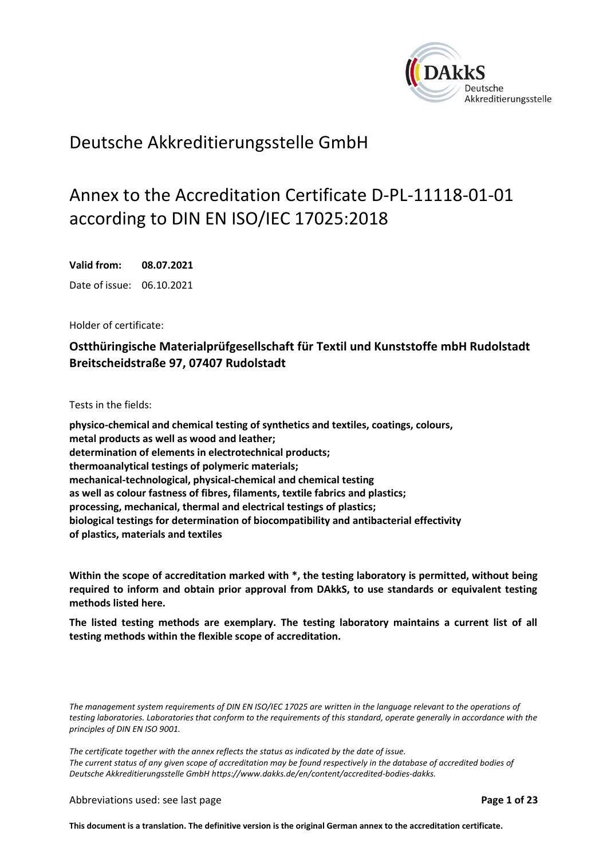<span id="page-0-0"></span>

# Deutsche Akkreditierungsstelle GmbH

# Annex to the Accreditation Certificate D-PL-11118-01-01 according to DIN EN ISO/IEC 17025:2018

<span id="page-0-1"></span>**Valid from: 08.07.2021** Date of issue: 06.10.2021

Holder of certificate:

# **Ostthüringische Materialprüfgesellschaft für Textil und Kunststoffe mbH Rudolstadt Breitscheidstraße 97, 07407 Rudolstadt**

Tests in the fields:

**physico-chemical and chemical testing of synthetics and textiles, coatings, colours, metal products as well as wood and leather; determination of elements in electrotechnical products; thermoanalytical testings of polymeric materials; mechanical-technological, physical-chemical and chemical testing as well as colour fastness of fibres, filaments, textile fabrics and plastics; processing, mechanical, thermal and electrical testings of plastics; biological testings for determination of biocompatibility and antibacterial effectivity of plastics, materials and textiles**

**Within the scope of accreditation marked with \*, the testing laboratory is permitted, without being required to inform and obtain prior approval from DAkkS, to use standards or equivalent testing methods listed here.** 

**The listed testing methods are exemplary. The testing laboratory maintains a current list of all testing methods within the flexible scope of accreditation.** 

*The management system requirements of DIN EN ISO/IEC 17025 are written in the language relevant to the operations of testing laboratories. Laboratories that conform to the requirements of this standard, operate generally in accordance with the principles of DIN EN ISO 9001.*

*The certificate together with the annex reflects the status as indicated by the date of issue.* The current status of any given scope of accreditation may be found respectively in the database of accredited bodies of *Deutsche Akkreditierungsstelle GmbH [https://www.dakks.de/en/content/accredited-bodies-dakks.](https://www.dakks.de/en/content/accredited-bodies-dakks)*

Abbreviations used: see last page **Page 1 of 23**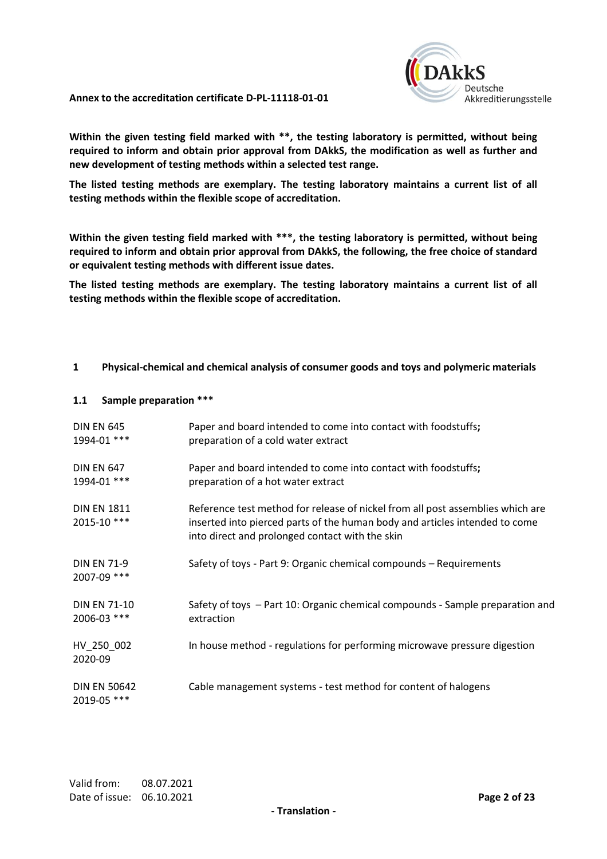

**Within the given testing field marked with \*\*, the testing laboratory is permitted, without being required to inform and obtain prior approval from DAkkS, the modification as well as further and new development of testing methods within a selected test range.** 

**The listed testing methods are exemplary. The testing laboratory maintains a current list of all testing methods within the flexible scope of accreditation.** 

**Within the given testing field marked with \*\*\*, the testing laboratory is permitted, without being required to inform and obtain prior approval from DAkkS, the following, the free choice of standard or equivalent testing methods with different issue dates.**

**The listed testing methods are exemplary. The testing laboratory maintains a current list of all testing methods within the flexible scope of accreditation.** 

## **1 Physical-chemical and chemical analysis of consumer goods and toys and polymeric materials**

## **1.1 Sample preparation \*\*\***

| <b>DIN EN 645</b><br>1994-01 ***   | Paper and board intended to come into contact with foodstuffs;<br>preparation of a cold water extract                                                                                                            |
|------------------------------------|------------------------------------------------------------------------------------------------------------------------------------------------------------------------------------------------------------------|
| <b>DIN EN 647</b><br>1994-01 ***   | Paper and board intended to come into contact with foodstuffs;<br>preparation of a hot water extract                                                                                                             |
| <b>DIN EN 1811</b><br>2015-10 ***  | Reference test method for release of nickel from all post assemblies which are<br>inserted into pierced parts of the human body and articles intended to come<br>into direct and prolonged contact with the skin |
| <b>DIN EN 71-9</b><br>2007-09 ***  | Safety of toys - Part 9: Organic chemical compounds - Requirements                                                                                                                                               |
| <b>DIN EN 71-10</b><br>2006-03 *** | Safety of toys - Part 10: Organic chemical compounds - Sample preparation and<br>extraction                                                                                                                      |
| HV_250_002<br>2020-09              | In house method - regulations for performing microwave pressure digestion                                                                                                                                        |
| <b>DIN EN 50642</b><br>2019-05 *** | Cable management systems - test method for content of halogens                                                                                                                                                   |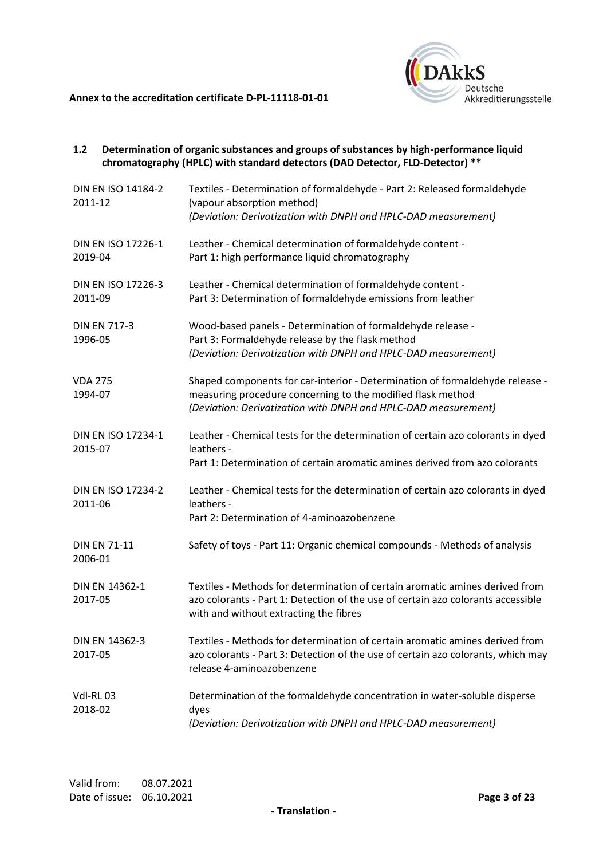

| 1.2                       |                     | Determination of organic substances and groups of substances by high-performance liquid<br>chromatography (HPLC) with standard detectors (DAD Detector, FLD-Detector) **                                      |
|---------------------------|---------------------|---------------------------------------------------------------------------------------------------------------------------------------------------------------------------------------------------------------|
| 2011-12                   | DIN EN ISO 14184-2  | Textiles - Determination of formaldehyde - Part 2: Released formaldehyde<br>(vapour absorption method)<br>(Deviation: Derivatization with DNPH and HPLC-DAD measurement)                                      |
| 2019-04                   | DIN EN ISO 17226-1  | Leather - Chemical determination of formaldehyde content -<br>Part 1: high performance liquid chromatography                                                                                                  |
| 2011-09                   | DIN EN ISO 17226-3  | Leather - Chemical determination of formaldehyde content -<br>Part 3: Determination of formaldehyde emissions from leather                                                                                    |
| 1996-05                   | <b>DIN EN 717-3</b> | Wood-based panels - Determination of formaldehyde release -<br>Part 3: Formaldehyde release by the flask method<br>(Deviation: Derivatization with DNPH and HPLC-DAD measurement)                             |
| <b>VDA 275</b><br>1994-07 |                     | Shaped components for car-interior - Determination of formaldehyde release -<br>measuring procedure concerning to the modified flask method<br>(Deviation: Derivatization with DNPH and HPLC-DAD measurement) |
| 2015-07                   | DIN EN ISO 17234-1  | Leather - Chemical tests for the determination of certain azo colorants in dyed<br>leathers -<br>Part 1: Determination of certain aromatic amines derived from azo colorants                                  |
| 2011-06                   | DIN EN ISO 17234-2  | Leather - Chemical tests for the determination of certain azo colorants in dyed<br>leathers -<br>Part 2: Determination of 4-aminoazobenzene                                                                   |
| 2006-01                   | <b>DIN EN 71-11</b> | Safety of toys - Part 11: Organic chemical compounds - Methods of analysis                                                                                                                                    |
| 2017-05                   | DIN EN 14362-1      | Textiles - Methods for determination of certain aromatic amines derived from<br>azo colorants - Part 1: Detection of the use of certain azo colorants accessible<br>with and without extracting the fibres    |
| 2017-05                   | DIN EN 14362-3      | Textiles - Methods for determination of certain aromatic amines derived from<br>azo colorants - Part 3: Detection of the use of certain azo colorants, which may<br>release 4-aminoazobenzene                 |
| Vdl-RL03<br>2018-02       |                     | Determination of the formaldehyde concentration in water-soluble disperse<br>dyes<br>(Deviation: Derivatization with DNPH and HPLC-DAD measurement)                                                           |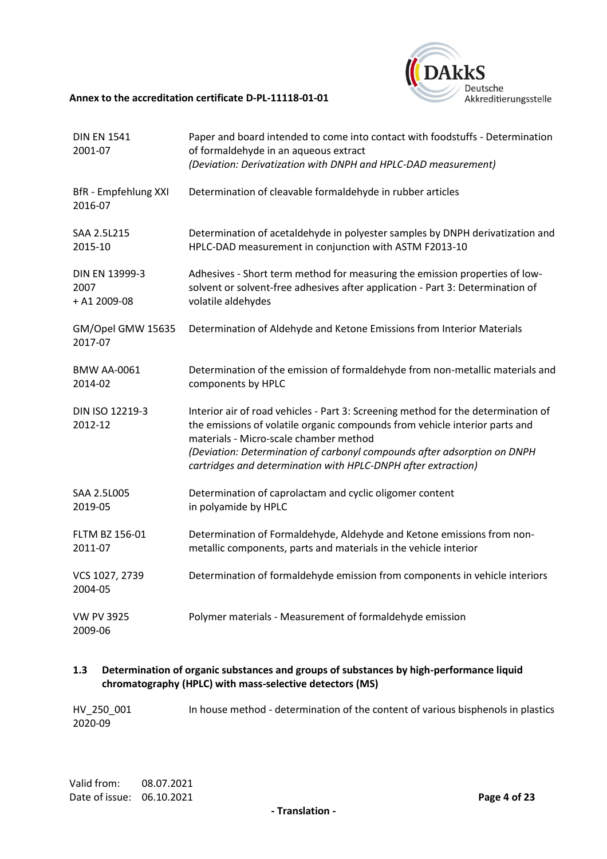

| <b>DIN EN 1541</b><br>2001-07          | Paper and board intended to come into contact with foodstuffs - Determination<br>of formaldehyde in an aqueous extract<br>(Deviation: Derivatization with DNPH and HPLC-DAD measurement)                                                                                                                                                                |
|----------------------------------------|---------------------------------------------------------------------------------------------------------------------------------------------------------------------------------------------------------------------------------------------------------------------------------------------------------------------------------------------------------|
| <b>BfR</b> - Empfehlung XXI<br>2016-07 | Determination of cleavable formaldehyde in rubber articles                                                                                                                                                                                                                                                                                              |
| SAA 2.5L215<br>2015-10                 | Determination of acetaldehyde in polyester samples by DNPH derivatization and<br>HPLC-DAD measurement in conjunction with ASTM F2013-10                                                                                                                                                                                                                 |
| DIN EN 13999-3<br>2007<br>+ A1 2009-08 | Adhesives - Short term method for measuring the emission properties of low-<br>solvent or solvent-free adhesives after application - Part 3: Determination of<br>volatile aldehydes                                                                                                                                                                     |
| GM/Opel GMW 15635<br>2017-07           | Determination of Aldehyde and Ketone Emissions from Interior Materials                                                                                                                                                                                                                                                                                  |
| <b>BMW AA-0061</b><br>2014-02          | Determination of the emission of formaldehyde from non-metallic materials and<br>components by HPLC                                                                                                                                                                                                                                                     |
| DIN ISO 12219-3<br>2012-12             | Interior air of road vehicles - Part 3: Screening method for the determination of<br>the emissions of volatile organic compounds from vehicle interior parts and<br>materials - Micro-scale chamber method<br>(Deviation: Determination of carbonyl compounds after adsorption on DNPH<br>cartridges and determination with HPLC-DNPH after extraction) |
| SAA 2.5L005<br>2019-05                 | Determination of caprolactam and cyclic oligomer content<br>in polyamide by HPLC                                                                                                                                                                                                                                                                        |
| FLTM BZ 156-01<br>2011-07              | Determination of Formaldehyde, Aldehyde and Ketone emissions from non-<br>metallic components, parts and materials in the vehicle interior                                                                                                                                                                                                              |
| VCS 1027, 2739<br>2004-05              | Determination of formaldehyde emission from components in vehicle interiors                                                                                                                                                                                                                                                                             |
| <b>VW PV 3925</b><br>2009-06           | Polymer materials - Measurement of formaldehyde emission                                                                                                                                                                                                                                                                                                |

# **1.3 Determination of organic substances and groups of substances by high-performance liquid chromatography (HPLC) with mass-selective detectors (MS)**

| HV 250 001 | In house method - determination of the content of various bisphenols in plastics |
|------------|----------------------------------------------------------------------------------|
| 2020-09    |                                                                                  |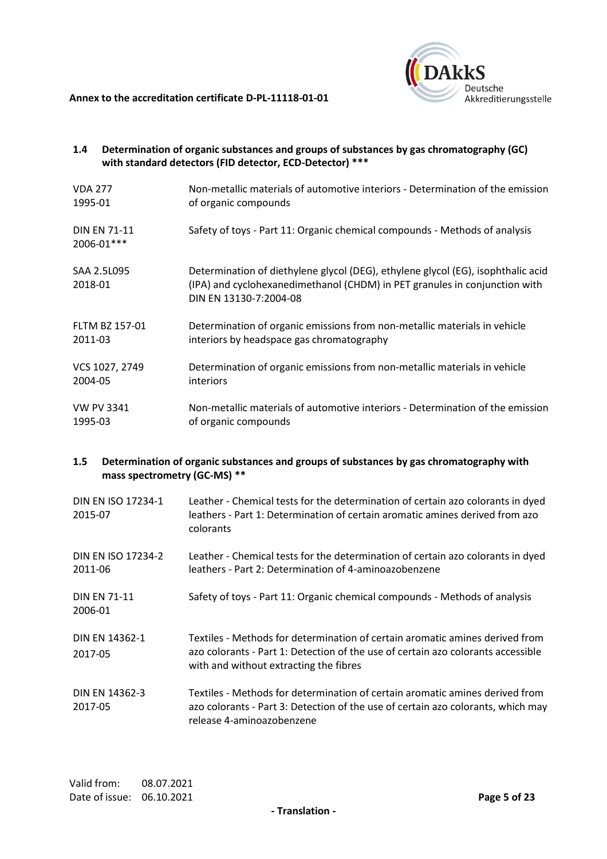

| 1.4 <sub>2</sub>          |                     | Determination of organic substances and groups of substances by gas chromatography (GC)<br>with standard detectors (FID detector, ECD-Detector) ***                                      |
|---------------------------|---------------------|------------------------------------------------------------------------------------------------------------------------------------------------------------------------------------------|
| <b>VDA 277</b><br>1995-01 |                     | Non-metallic materials of automotive interiors - Determination of the emission<br>of organic compounds                                                                                   |
| 2006-01***                | <b>DIN EN 71-11</b> | Safety of toys - Part 11: Organic chemical compounds - Methods of analysis                                                                                                               |
| 2018-01                   | SAA 2.5L095         | Determination of diethylene glycol (DEG), ethylene glycol (EG), isophthalic acid<br>(IPA) and cyclohexanedimethanol (CHDM) in PET granules in conjunction with<br>DIN EN 13130-7:2004-08 |
| 2011-03                   | FLTM BZ 157-01      | Determination of organic emissions from non-metallic materials in vehicle<br>interiors by headspace gas chromatography                                                                   |
| 2004-05                   | VCS 1027, 2749      | Determination of organic emissions from non-metallic materials in vehicle<br>interiors                                                                                                   |
| 1995-03                   | <b>VW PV 3341</b>   | Non-metallic materials of automotive interiors - Determination of the emission<br>of organic compounds                                                                                   |

# **1.5 Determination of organic substances and groups of substances by gas chromatography with mass spectrometry (GC-MS) \*\***

| <b>DIN EN ISO 17234-1</b><br>2015-07 | Leather - Chemical tests for the determination of certain azo colorants in dyed<br>leathers - Part 1: Determination of certain aromatic amines derived from azo<br>colorants                               |
|--------------------------------------|------------------------------------------------------------------------------------------------------------------------------------------------------------------------------------------------------------|
| DIN FN ISO 17234-2<br>2011-06        | Leather - Chemical tests for the determination of certain azo colorants in dyed<br>leathers - Part 2: Determination of 4-aminoazobenzene                                                                   |
| <b>DIN EN 71-11</b><br>2006-01       | Safety of toys - Part 11: Organic chemical compounds - Methods of analysis                                                                                                                                 |
| DIN EN 14362-1<br>2017-05            | Textiles - Methods for determination of certain aromatic amines derived from<br>azo colorants - Part 1: Detection of the use of certain azo colorants accessible<br>with and without extracting the fibres |
| DIN EN 14362-3<br>2017-05            | Textiles - Methods for determination of certain aromatic amines derived from<br>azo colorants - Part 3: Detection of the use of certain azo colorants, which may<br>release 4-aminoazobenzene              |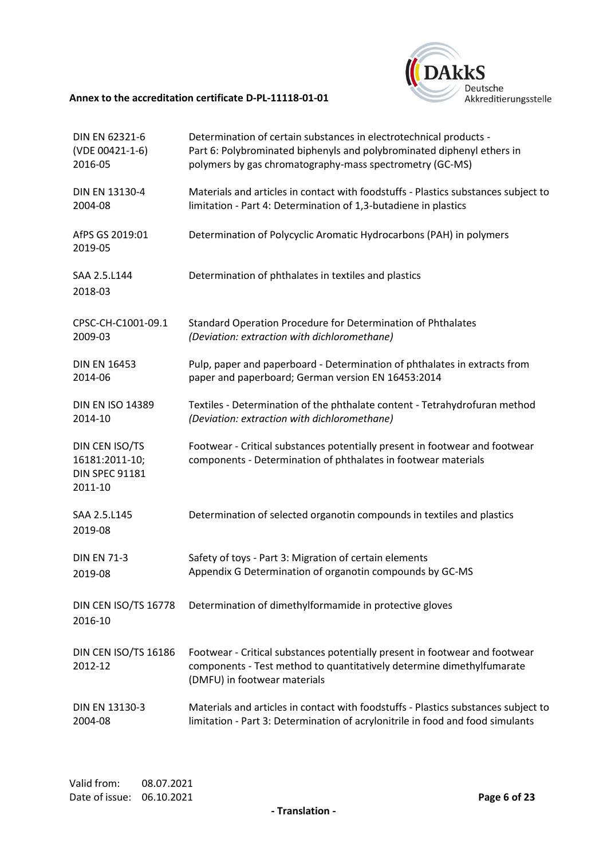

| DIN EN 62321-6                                                       | Determination of certain substances in electrotechnical products -                                                                                                                   |
|----------------------------------------------------------------------|--------------------------------------------------------------------------------------------------------------------------------------------------------------------------------------|
| (VDE 00421-1-6)                                                      | Part 6: Polybrominated biphenyls and polybrominated diphenyl ethers in                                                                                                               |
| 2016-05                                                              | polymers by gas chromatography-mass spectrometry (GC-MS)                                                                                                                             |
| DIN EN 13130-4                                                       | Materials and articles in contact with foodstuffs - Plastics substances subject to                                                                                                   |
| 2004-08                                                              | limitation - Part 4: Determination of 1,3-butadiene in plastics                                                                                                                      |
| AfPS GS 2019:01<br>2019-05                                           | Determination of Polycyclic Aromatic Hydrocarbons (PAH) in polymers                                                                                                                  |
| SAA 2.5.L144<br>2018-03                                              | Determination of phthalates in textiles and plastics                                                                                                                                 |
| CPSC-CH-C1001-09.1                                                   | Standard Operation Procedure for Determination of Phthalates                                                                                                                         |
| 2009-03                                                              | (Deviation: extraction with dichloromethane)                                                                                                                                         |
| <b>DIN EN 16453</b>                                                  | Pulp, paper and paperboard - Determination of phthalates in extracts from                                                                                                            |
| 2014-06                                                              | paper and paperboard; German version EN 16453:2014                                                                                                                                   |
| <b>DIN EN ISO 14389</b>                                              | Textiles - Determination of the phthalate content - Tetrahydrofuran method                                                                                                           |
| 2014-10                                                              | (Deviation: extraction with dichloromethane)                                                                                                                                         |
| DIN CEN ISO/TS<br>16181:2011-10;<br><b>DIN SPEC 91181</b><br>2011-10 | Footwear - Critical substances potentially present in footwear and footwear<br>components - Determination of phthalates in footwear materials                                        |
| SAA 2.5.L145<br>2019-08                                              | Determination of selected organotin compounds in textiles and plastics                                                                                                               |
| <b>DIN EN 71-3</b>                                                   | Safety of toys - Part 3: Migration of certain elements                                                                                                                               |
| 2019-08                                                              | Appendix G Determination of organotin compounds by GC-MS                                                                                                                             |
| DIN CEN ISO/TS 16778<br>2016-10                                      | Determination of dimethylformamide in protective gloves                                                                                                                              |
| DIN CEN ISO/TS 16186<br>2012-12                                      | Footwear - Critical substances potentially present in footwear and footwear<br>components - Test method to quantitatively determine dimethylfumarate<br>(DMFU) in footwear materials |
| DIN EN 13130-3                                                       | Materials and articles in contact with foodstuffs - Plastics substances subject to                                                                                                   |
| 2004-08                                                              | limitation - Part 3: Determination of acrylonitrile in food and food simulants                                                                                                       |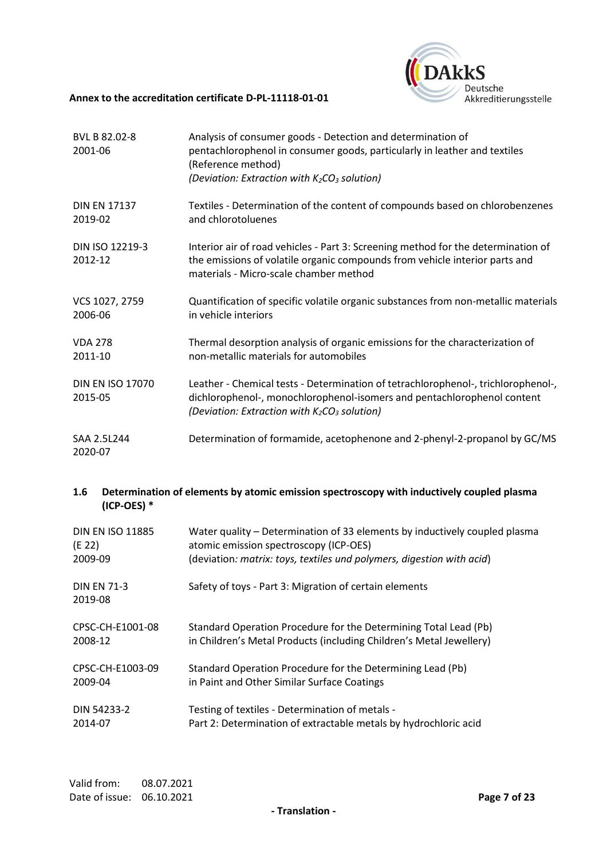

| BVL B 82.02-8<br>2001-06           | Analysis of consumer goods - Detection and determination of<br>pentachlorophenol in consumer goods, particularly in leather and textiles<br>(Reference method)<br>(Deviation: Extraction with $K_2CO_3$ solution) |
|------------------------------------|-------------------------------------------------------------------------------------------------------------------------------------------------------------------------------------------------------------------|
| <b>DIN EN 17137</b><br>2019-02     | Textiles - Determination of the content of compounds based on chlorobenzenes<br>and chlorotoluenes                                                                                                                |
| DIN ISO 12219-3<br>2012-12         | Interior air of road vehicles - Part 3: Screening method for the determination of<br>the emissions of volatile organic compounds from vehicle interior parts and<br>materials - Micro-scale chamber method        |
| VCS 1027, 2759<br>2006-06          | Quantification of specific volatile organic substances from non-metallic materials<br>in vehicle interiors                                                                                                        |
| <b>VDA 278</b><br>2011-10          | Thermal desorption analysis of organic emissions for the characterization of<br>non-metallic materials for automobiles                                                                                            |
| <b>DIN EN ISO 17070</b><br>2015-05 | Leather - Chemical tests - Determination of tetrachlorophenol-, trichlorophenol-,<br>dichlorophenol-, monochlorophenol-isomers and pentachlorophenol content<br>(Deviation: Extraction with $K_2CO_3$ solution)   |
| SAA 2.5L244<br>2020-07             | Determination of formamide, acetophenone and 2-phenyl-2-propanol by GC/MS                                                                                                                                         |

# **1.6 Determination of elements by atomic emission spectroscopy with inductively coupled plasma (ICP-OES) \***

| <b>DIN EN ISO 11885</b>       | Water quality – Determination of 33 elements by inductively coupled plasma |
|-------------------------------|----------------------------------------------------------------------------|
| (E 22)                        | atomic emission spectroscopy (ICP-OES)                                     |
| 2009-09                       | (deviation: matrix: toys, textiles und polymers, digestion with acid)      |
| <b>DIN EN 71-3</b><br>2019-08 | Safety of toys - Part 3: Migration of certain elements                     |
| CPSC-CH-E1001-08              | Standard Operation Procedure for the Determining Total Lead (Pb)           |
| 2008-12                       | in Children's Metal Products (including Children's Metal Jewellery)        |
| CPSC-CH-E1003-09              | Standard Operation Procedure for the Determining Lead (Pb)                 |
| 2009-04                       | in Paint and Other Similar Surface Coatings                                |
| DIN 54233-2                   | Testing of textiles - Determination of metals -                            |
| 2014-07                       | Part 2: Determination of extractable metals by hydrochloric acid           |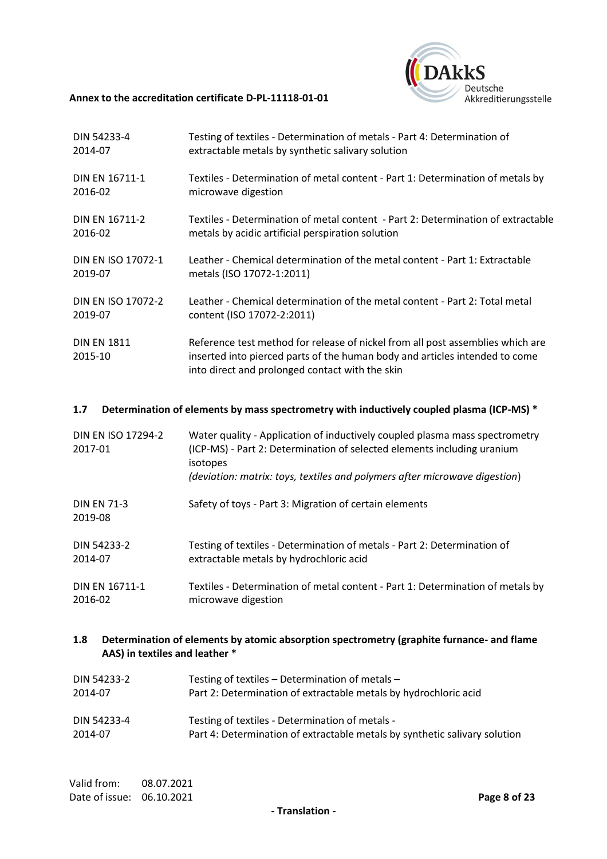

| DIN 54233-4                   | Testing of textiles - Determination of metals - Part 4: Determination of                                                                                                                                         |
|-------------------------------|------------------------------------------------------------------------------------------------------------------------------------------------------------------------------------------------------------------|
| 2014-07                       | extractable metals by synthetic salivary solution                                                                                                                                                                |
| DIN EN 16711-1                | Textiles - Determination of metal content - Part 1: Determination of metals by                                                                                                                                   |
| 2016-02                       | microwave digestion                                                                                                                                                                                              |
| DIN EN 16711-2                | Textiles - Determination of metal content - Part 2: Determination of extractable                                                                                                                                 |
| 2016-02                       | metals by acidic artificial perspiration solution                                                                                                                                                                |
| DIN EN ISO 17072-1            | Leather - Chemical determination of the metal content - Part 1: Extractable                                                                                                                                      |
| 2019-07                       | metals (ISO 17072-1:2011)                                                                                                                                                                                        |
| DIN EN ISO 17072-2            | Leather - Chemical determination of the metal content - Part 2: Total metal                                                                                                                                      |
| 2019-07                       | content (ISO 17072-2:2011)                                                                                                                                                                                       |
| <b>DIN EN 1811</b><br>2015-10 | Reference test method for release of nickel from all post assemblies which are<br>inserted into pierced parts of the human body and articles intended to come<br>into direct and prolonged contact with the skin |

# **1.7 Determination of elements by mass spectrometry with inductively coupled plasma (ICP-MS) \***

| DIN EN ISO 17294-2<br>2017-01 | Water quality - Application of inductively coupled plasma mass spectrometry<br>(ICP-MS) - Part 2: Determination of selected elements including uranium<br>isotopes<br>(deviation: matrix: toys, textiles and polymers after microwave digestion) |
|-------------------------------|--------------------------------------------------------------------------------------------------------------------------------------------------------------------------------------------------------------------------------------------------|
| <b>DIN EN 71-3</b><br>2019-08 | Safety of toys - Part 3: Migration of certain elements                                                                                                                                                                                           |
| DIN 54233-2                   | Testing of textiles - Determination of metals - Part 2: Determination of                                                                                                                                                                         |
| 2014-07                       | extractable metals by hydrochloric acid                                                                                                                                                                                                          |
| DIN EN 16711-1                | Textiles - Determination of metal content - Part 1: Determination of metals by                                                                                                                                                                   |
| 2016-02                       | microwave digestion                                                                                                                                                                                                                              |

# **1.8 Determination of elements by atomic absorption spectrometry (graphite furnance- and flame AAS) in textiles and leather \***

| DIN 54233-2 | Testing of textiles - Determination of metals -                            |
|-------------|----------------------------------------------------------------------------|
| 2014-07     | Part 2: Determination of extractable metals by hydrochloric acid           |
| DIN 54233-4 | Testing of textiles - Determination of metals -                            |
| 2014-07     | Part 4: Determination of extractable metals by synthetic salivary solution |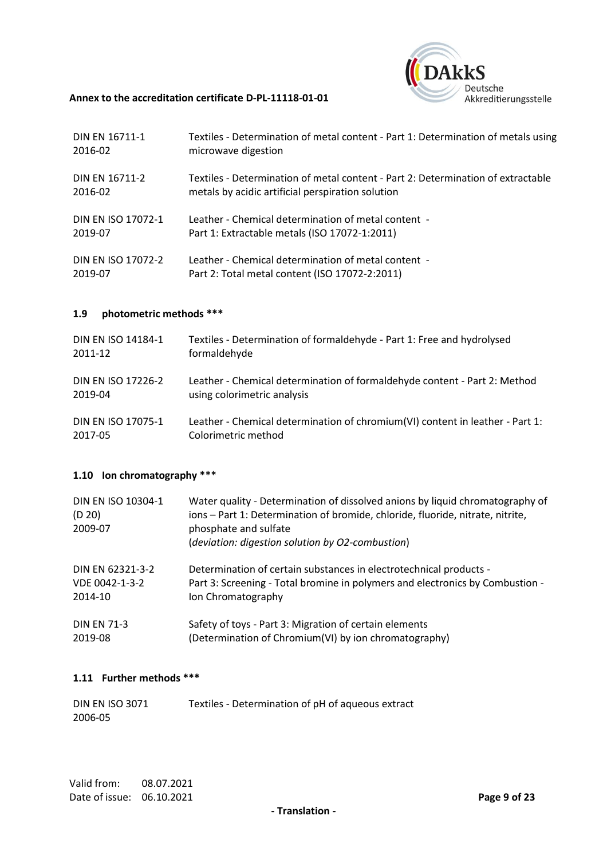

| DIN EN 16711-1     | Textiles - Determination of metal content - Part 1: Determination of metals using |
|--------------------|-----------------------------------------------------------------------------------|
| 2016-02            | microwave digestion                                                               |
| DIN FN 16711-2     | Textiles - Determination of metal content - Part 2: Determination of extractable  |
| 2016-02            | metals by acidic artificial perspiration solution                                 |
| DIN FN ISO 17072-1 | Leather - Chemical determination of metal content -                               |
| 2019-07            | Part 1: Extractable metals (ISO 17072-1:2011)                                     |
| DIN FN ISO 17072-2 | Leather - Chemical determination of metal content -                               |
| 2019-07            | Part 2: Total metal content (ISO 17072-2:2011)                                    |

# **1.9 photometric methods \*\*\***

| DIN EN ISO 14184-1 | Textiles - Determination of formaldehyde - Part 1: Free and hydrolysed        |
|--------------------|-------------------------------------------------------------------------------|
| 2011-12            | formaldehyde                                                                  |
| DIN EN ISO 17226-2 | Leather - Chemical determination of formaldehyde content - Part 2: Method     |
| 2019-04            | using colorimetric analysis                                                   |
| DIN EN ISO 17075-1 | Leather - Chemical determination of chromium(VI) content in leather - Part 1: |
| 2017-05            | Colorimetric method                                                           |

# **1.10 Ion chromatography \*\*\***

| DIN EN ISO 10304-1<br>(D 20)<br>2009-07 | Water quality - Determination of dissolved anions by liquid chromatography of<br>ions - Part 1: Determination of bromide, chloride, fluoride, nitrate, nitrite,<br>phosphate and sulfate<br>(deviation: digestion solution by O2-combustion) |
|-----------------------------------------|----------------------------------------------------------------------------------------------------------------------------------------------------------------------------------------------------------------------------------------------|
| DIN EN 62321-3-2                        | Determination of certain substances in electrotechnical products -                                                                                                                                                                           |
| VDE 0042-1-3-2                          | Part 3: Screening - Total bromine in polymers and electronics by Combustion -                                                                                                                                                                |
| 2014-10                                 | Ion Chromatography                                                                                                                                                                                                                           |
| <b>DIN EN 71-3</b>                      | Safety of toys - Part 3: Migration of certain elements                                                                                                                                                                                       |
| 2019-08                                 | (Determination of Chromium(VI) by ion chromatography)                                                                                                                                                                                        |

# **1.11 Further methods \*\*\***

| <b>DIN EN ISO 3071</b> | Textiles - Determination of pH of aqueous extract |
|------------------------|---------------------------------------------------|
| 2006-05                |                                                   |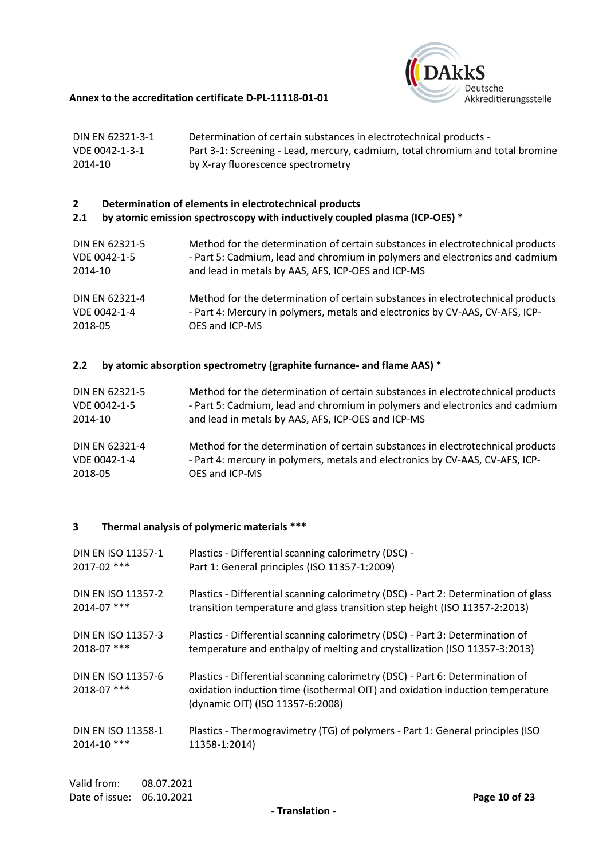

| DIN EN 62321-3-1 | Determination of certain substances in electrotechnical products -             |
|------------------|--------------------------------------------------------------------------------|
| VDE 0042-1-3-1   | Part 3-1: Screening - Lead, mercury, cadmium, total chromium and total bromine |
| 2014-10          | by X-ray fluorescence spectrometry                                             |

# **2 Determination of elements in electrotechnical products**

# **2.1 by atomic emission spectroscopy with inductively coupled plasma (ICP-OES) \***

| DIN EN 62321-5 | Method for the determination of certain substances in electrotechnical products |
|----------------|---------------------------------------------------------------------------------|
| VDE 0042-1-5   | - Part 5: Cadmium, lead and chromium in polymers and electronics and cadmium    |
| 2014-10        | and lead in metals by AAS, AFS, ICP-OES and ICP-MS                              |
| DIN EN 62321-4 | Method for the determination of certain substances in electrotechnical products |
| VDE 0042-1-4   | - Part 4: Mercury in polymers, metals and electronics by CV-AAS, CV-AFS, ICP-   |
| 2018-05        | OES and ICP-MS                                                                  |

# **2.2 by atomic absorption spectrometry (graphite furnance- and flame AAS) \***

| DIN EN 62321-5 | Method for the determination of certain substances in electrotechnical products |
|----------------|---------------------------------------------------------------------------------|
| VDE 0042-1-5   | - Part 5: Cadmium, lead and chromium in polymers and electronics and cadmium    |
| 2014-10        | and lead in metals by AAS, AFS, ICP-OES and ICP-MS                              |
| DIN EN 62321-4 | Method for the determination of certain substances in electrotechnical products |
| VDE 0042-1-4   | - Part 4: mercury in polymers, metals and electronics by CV-AAS, CV-AFS, ICP-   |
| 2018-05        | OES and ICP-MS                                                                  |

# **3 Thermal analysis of polymeric materials \*\*\***

| DIN EN ISO 11357-1                | Plastics - Differential scanning calorimetry (DSC) -                                                                                                                                               |
|-----------------------------------|----------------------------------------------------------------------------------------------------------------------------------------------------------------------------------------------------|
| $2017 - 02$ ***                   | Part 1: General principles (ISO 11357-1:2009)                                                                                                                                                      |
| DIN EN ISO 11357-2                | Plastics - Differential scanning calorimetry (DSC) - Part 2: Determination of glass                                                                                                                |
| $2014 - 07$ ***                   | transition temperature and glass transition step height (ISO 11357-2:2013)                                                                                                                         |
| DIN EN ISO 11357-3                | Plastics - Differential scanning calorimetry (DSC) - Part 3: Determination of                                                                                                                      |
| $2018 - 07$ ***                   | temperature and enthalpy of melting and crystallization (ISO 11357-3:2013)                                                                                                                         |
| DIN EN ISO 11357-6<br>2018-07 *** | Plastics - Differential scanning calorimetry (DSC) - Part 6: Determination of<br>oxidation induction time (isothermal OIT) and oxidation induction temperature<br>(dynamic OIT) (ISO 11357-6:2008) |
| DIN EN ISO 11358-1                | Plastics - Thermogravimetry (TG) of polymers - Part 1: General principles (ISO                                                                                                                     |
| 2014-10 ***                       | 11358-1:2014)                                                                                                                                                                                      |
|                                   |                                                                                                                                                                                                    |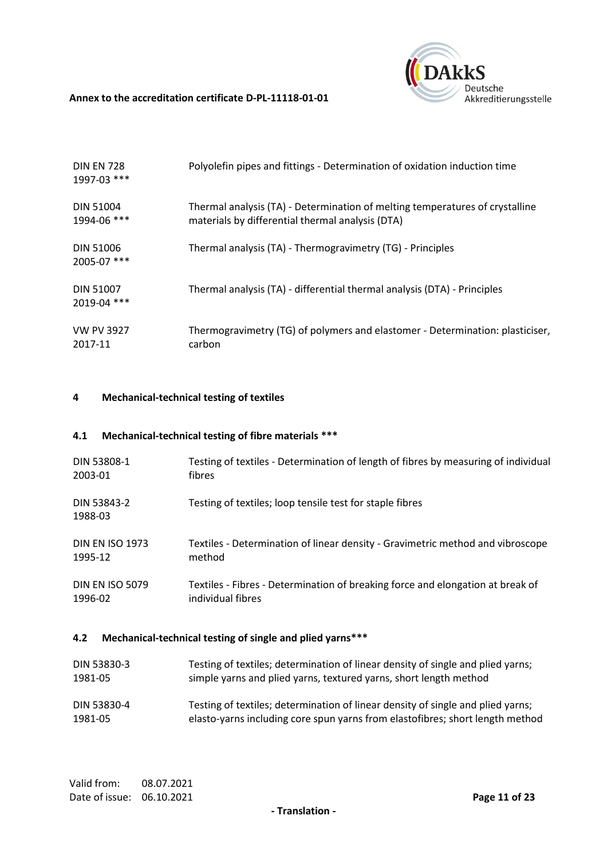

| <b>DIN EN 728</b><br>1997-03 *** | Polyolefin pipes and fittings - Determination of oxidation induction time                                                        |
|----------------------------------|----------------------------------------------------------------------------------------------------------------------------------|
| <b>DIN 51004</b><br>1994-06 ***  | Thermal analysis (TA) - Determination of melting temperatures of crystalline<br>materials by differential thermal analysis (DTA) |
| <b>DIN 51006</b><br>2005-07 ***  | Thermal analysis (TA) - Thermogravimetry (TG) - Principles                                                                       |
| <b>DIN 51007</b><br>2019-04 ***  | Thermal analysis (TA) - differential thermal analysis (DTA) - Principles                                                         |
| <b>VW PV 3927</b><br>2017-11     | Thermogravimetry (TG) of polymers and elastomer - Determination: plasticiser,<br>carbon                                          |

# **4 Mechanical-technical testing of textiles**

# **4.1 Mechanical-technical testing of fibre materials \*\*\***

| DIN 53808-1            | Testing of textiles - Determination of length of fibres by measuring of individual |
|------------------------|------------------------------------------------------------------------------------|
| 2003-01                | fibres                                                                             |
| DIN 53843-2<br>1988-03 | Testing of textiles; loop tensile test for staple fibres                           |
| <b>DIN EN ISO 1973</b> | Textiles - Determination of linear density - Gravimetric method and vibroscope     |
| 1995-12                | method                                                                             |
| <b>DIN EN ISO 5079</b> | Textiles - Fibres - Determination of breaking force and elongation at break of     |
| 1996-02                | individual fibres                                                                  |

# **4.2 Mechanical-technical testing of single and plied yarns\*\*\***

| DIN 53830-3 | Testing of textiles; determination of linear density of single and plied yarns; |
|-------------|---------------------------------------------------------------------------------|
| 1981-05     | simple yarns and plied yarns, textured yarns, short length method               |
| DIN 53830-4 | Testing of textiles; determination of linear density of single and plied yarns; |
| 1981-05     | elasto-yarns including core spun yarns from elastofibres; short length method   |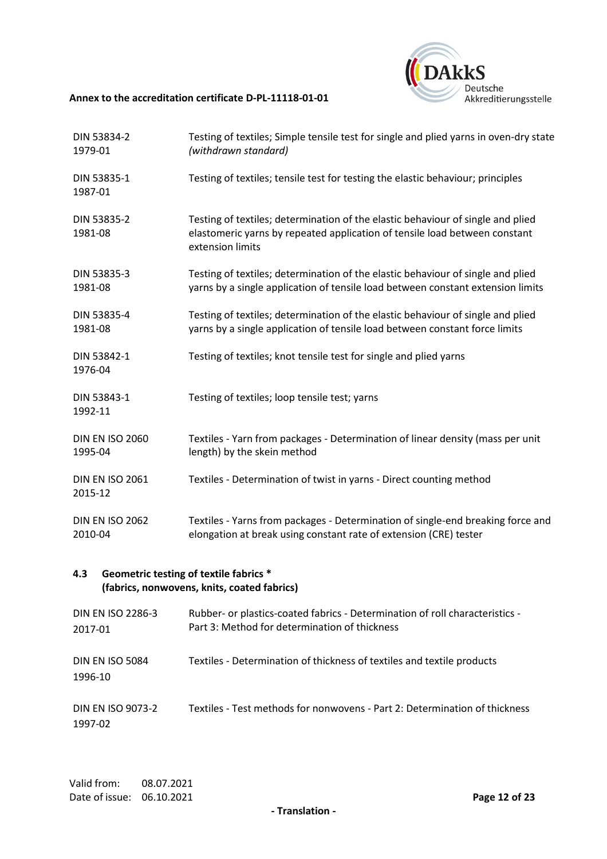

| DIN 53834-2<br>1979-01                                                                       | Testing of textiles; Simple tensile test for single and plied yarns in oven-dry state<br>(withdrawn standard)                                                                     |  |
|----------------------------------------------------------------------------------------------|-----------------------------------------------------------------------------------------------------------------------------------------------------------------------------------|--|
| DIN 53835-1<br>1987-01                                                                       | Testing of textiles; tensile test for testing the elastic behaviour; principles                                                                                                   |  |
| DIN 53835-2<br>1981-08                                                                       | Testing of textiles; determination of the elastic behaviour of single and plied<br>elastomeric yarns by repeated application of tensile load between constant<br>extension limits |  |
| DIN 53835-3<br>1981-08                                                                       | Testing of textiles; determination of the elastic behaviour of single and plied<br>yarns by a single application of tensile load between constant extension limits                |  |
| DIN 53835-4<br>1981-08                                                                       | Testing of textiles; determination of the elastic behaviour of single and plied<br>yarns by a single application of tensile load between constant force limits                    |  |
| DIN 53842-1<br>1976-04                                                                       | Testing of textiles; knot tensile test for single and plied yarns                                                                                                                 |  |
| DIN 53843-1<br>1992-11                                                                       | Testing of textiles; loop tensile test; yarns                                                                                                                                     |  |
| <b>DIN EN ISO 2060</b><br>1995-04                                                            | Textiles - Yarn from packages - Determination of linear density (mass per unit<br>length) by the skein method                                                                     |  |
| <b>DIN EN ISO 2061</b><br>2015-12                                                            | Textiles - Determination of twist in yarns - Direct counting method                                                                                                               |  |
| <b>DIN EN ISO 2062</b><br>2010-04                                                            | Textiles - Yarns from packages - Determination of single-end breaking force and<br>elongation at break using constant rate of extension (CRE) tester                              |  |
| Geometric testing of textile fabrics *<br>4.3<br>(fabrics, nonwovens, knits, coated fabrics) |                                                                                                                                                                                   |  |
| <b>DIN EN ISO 2286-3</b><br>2017-01                                                          | Rubber- or plastics-coated fabrics - Determination of roll characteristics -<br>Part 3: Method for determination of thickness                                                     |  |
| <b>DIN EN ISO 5084</b><br>1996-10                                                            | Textiles - Determination of thickness of textiles and textile products                                                                                                            |  |

#### DIN EN ISO 9073-2 1997-02 Textiles - Test methods for nonwovens - Part 2: Determination of thickness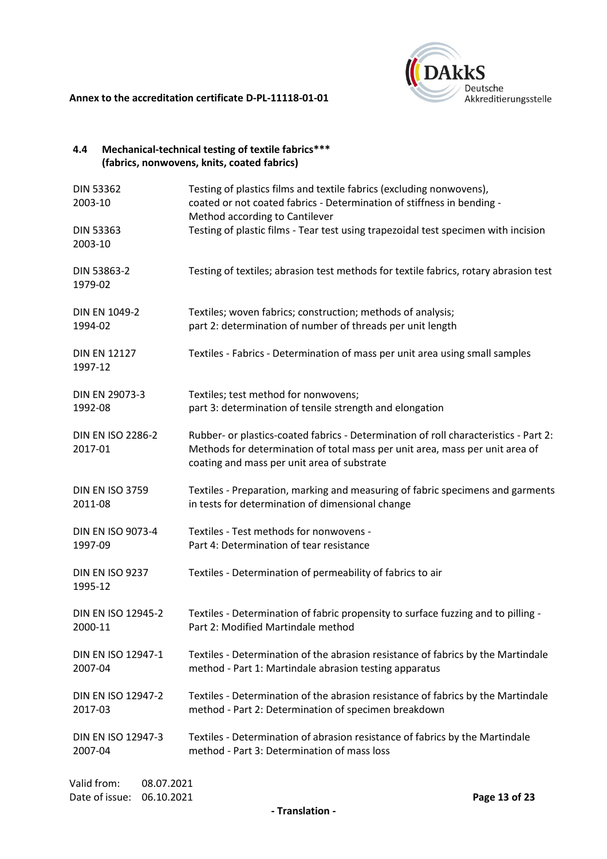

| 4.4                                                       | Mechanical-technical testing of textile fabrics***<br>(fabrics, nonwovens, knits, coated fabrics)                                                                                                                   |
|-----------------------------------------------------------|---------------------------------------------------------------------------------------------------------------------------------------------------------------------------------------------------------------------|
| <b>DIN 53362</b><br>2003-10                               | Testing of plastics films and textile fabrics (excluding nonwovens),<br>coated or not coated fabrics - Determination of stiffness in bending -<br>Method according to Cantilever                                    |
| <b>DIN 53363</b><br>2003-10                               | Testing of plastic films - Tear test using trapezoidal test specimen with incision                                                                                                                                  |
| DIN 53863-2<br>1979-02                                    | Testing of textiles; abrasion test methods for textile fabrics, rotary abrasion test                                                                                                                                |
| <b>DIN EN 1049-2</b>                                      | Textiles; woven fabrics; construction; methods of analysis;                                                                                                                                                         |
| 1994-02                                                   | part 2: determination of number of threads per unit length                                                                                                                                                          |
| <b>DIN EN 12127</b><br>1997-12                            | Textiles - Fabrics - Determination of mass per unit area using small samples                                                                                                                                        |
| DIN EN 29073-3                                            | Textiles; test method for nonwovens;                                                                                                                                                                                |
| 1992-08                                                   | part 3: determination of tensile strength and elongation                                                                                                                                                            |
| <b>DIN EN ISO 2286-2</b><br>2017-01                       | Rubber- or plastics-coated fabrics - Determination of roll characteristics - Part 2:<br>Methods for determination of total mass per unit area, mass per unit area of<br>coating and mass per unit area of substrate |
| <b>DIN EN ISO 3759</b>                                    | Textiles - Preparation, marking and measuring of fabric specimens and garments                                                                                                                                      |
| 2011-08                                                   | in tests for determination of dimensional change                                                                                                                                                                    |
| <b>DIN EN ISO 9073-4</b>                                  | Textiles - Test methods for nonwovens -                                                                                                                                                                             |
| 1997-09                                                   | Part 4: Determination of tear resistance                                                                                                                                                                            |
| <b>DIN EN ISO 9237</b><br>1995-12                         | Textiles - Determination of permeability of fabrics to air                                                                                                                                                          |
| <b>DIN EN ISO 12945-2</b>                                 | Textiles - Determination of fabric propensity to surface fuzzing and to pilling -                                                                                                                                   |
| 2000-11                                                   | Part 2: Modified Martindale method                                                                                                                                                                                  |
| DIN EN ISO 12947-1                                        | Textiles - Determination of the abrasion resistance of fabrics by the Martindale                                                                                                                                    |
| 2007-04                                                   | method - Part 1: Martindale abrasion testing apparatus                                                                                                                                                              |
| DIN EN ISO 12947-2                                        | Textiles - Determination of the abrasion resistance of fabrics by the Martindale                                                                                                                                    |
| 2017-03                                                   | method - Part 2: Determination of specimen breakdown                                                                                                                                                                |
| DIN EN ISO 12947-3                                        | Textiles - Determination of abrasion resistance of fabrics by the Martindale                                                                                                                                        |
| 2007-04                                                   | method - Part 3: Determination of mass loss                                                                                                                                                                         |
| Valid from:<br>08.07.2021<br>Date of issue:<br>06.10.2021 | Page 13 of 23                                                                                                                                                                                                       |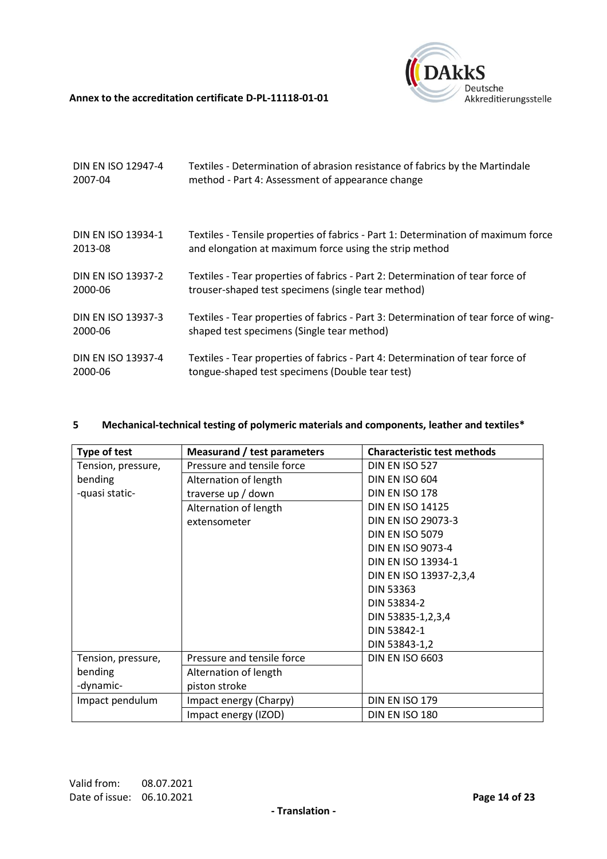

| DIN EN ISO 12947-4        | Textiles - Determination of abrasion resistance of fabrics by the Martindale         |
|---------------------------|--------------------------------------------------------------------------------------|
| 2007-04                   | method - Part 4: Assessment of appearance change                                     |
| <b>DIN EN ISO 13934-1</b> | Textiles - Tensile properties of fabrics - Part 1: Determination of maximum force    |
| 2013-08                   | and elongation at maximum force using the strip method                               |
| <b>DIN EN ISO 13937-2</b> | Textiles - Tear properties of fabrics - Part 2: Determination of tear force of       |
| 2000-06                   | trouser-shaped test specimens (single tear method)                                   |
| <b>DIN EN ISO 13937-3</b> | Textiles - Tear properties of fabrics - Part 3: Determination of tear force of wing- |
| 2000-06                   | shaped test specimens (Single tear method)                                           |
| DIN EN ISO 13937-4        | Textiles - Tear properties of fabrics - Part 4: Determination of tear force of       |
| 2000-06                   | tongue-shaped test specimens (Double tear test)                                      |

# **5 Mechanical-technical testing of polymeric materials and components, leather and textiles\***

| Type of test       | <b>Measurand / test parameters</b> | <b>Characteristic test methods</b> |
|--------------------|------------------------------------|------------------------------------|
| Tension, pressure, | Pressure and tensile force         | DIN EN ISO 527                     |
| bending            | Alternation of length              | <b>DIN EN ISO 604</b>              |
| -quasi static-     | traverse up / down                 | DIN EN ISO 178                     |
|                    | Alternation of length              | <b>DIN EN ISO 14125</b>            |
|                    | extensometer                       | DIN EN ISO 29073-3                 |
|                    |                                    | <b>DIN EN ISO 5079</b>             |
|                    |                                    | DIN EN ISO 9073-4                  |
|                    |                                    | <b>DIN EN ISO 13934-1</b>          |
|                    |                                    | DIN EN ISO 13937-2,3,4             |
|                    |                                    | <b>DIN 53363</b>                   |
|                    |                                    | DIN 53834-2                        |
|                    |                                    | DIN 53835-1,2,3,4                  |
|                    |                                    | DIN 53842-1                        |
|                    |                                    | DIN 53843-1,2                      |
| Tension, pressure, | Pressure and tensile force         | <b>DIN EN ISO 6603</b>             |
| bending            | Alternation of length              |                                    |
| -dynamic-          | piston stroke                      |                                    |
| Impact pendulum    | Impact energy (Charpy)             | DIN EN ISO 179                     |
|                    | Impact energy (IZOD)               | DIN EN ISO 180                     |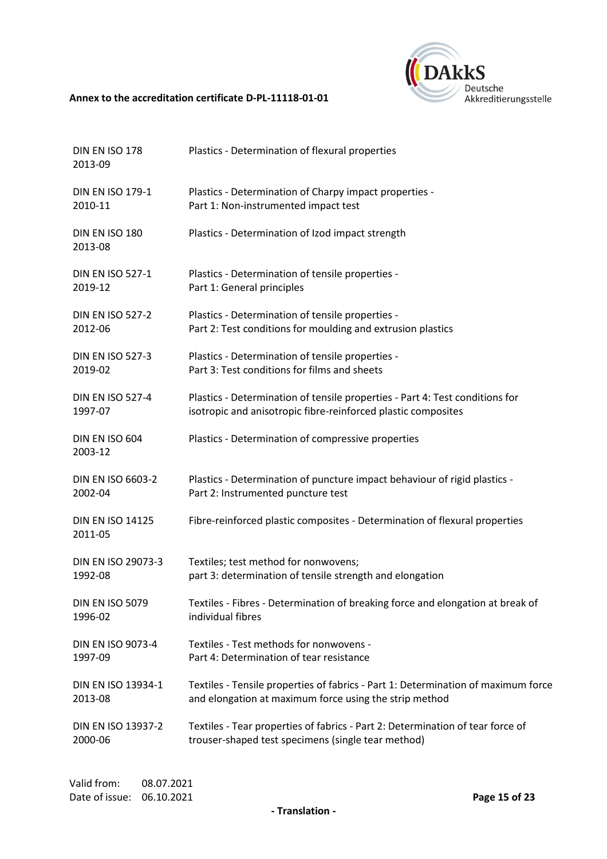

| DIN EN ISO 178<br>2013-09          | Plastics - Determination of flexural properties                                   |
|------------------------------------|-----------------------------------------------------------------------------------|
| <b>DIN EN ISO 179-1</b>            | Plastics - Determination of Charpy impact properties -                            |
| 2010-11                            | Part 1: Non-instrumented impact test                                              |
| DIN EN ISO 180<br>2013-08          | Plastics - Determination of Izod impact strength                                  |
| <b>DIN EN ISO 527-1</b>            | Plastics - Determination of tensile properties -                                  |
| 2019-12                            | Part 1: General principles                                                        |
| <b>DIN EN ISO 527-2</b>            | Plastics - Determination of tensile properties -                                  |
| 2012-06                            | Part 2: Test conditions for moulding and extrusion plastics                       |
| <b>DIN EN ISO 527-3</b>            | Plastics - Determination of tensile properties -                                  |
| 2019-02                            | Part 3: Test conditions for films and sheets                                      |
| <b>DIN EN ISO 527-4</b>            | Plastics - Determination of tensile properties - Part 4: Test conditions for      |
| 1997-07                            | isotropic and anisotropic fibre-reinforced plastic composites                     |
| DIN EN ISO 604<br>2003-12          | Plastics - Determination of compressive properties                                |
| <b>DIN EN ISO 6603-2</b>           | Plastics - Determination of puncture impact behaviour of rigid plastics -         |
| 2002-04                            | Part 2: Instrumented puncture test                                                |
| <b>DIN EN ISO 14125</b><br>2011-05 | Fibre-reinforced plastic composites - Determination of flexural properties        |
| DIN EN ISO 29073-3                 | Textiles; test method for nonwovens;                                              |
| 1992-08                            | part 3: determination of tensile strength and elongation                          |
| <b>DIN EN ISO 5079</b>             | Textiles - Fibres - Determination of breaking force and elongation at break of    |
| 1996-02                            | individual fibres                                                                 |
| DIN EN ISO 9073-4                  | Textiles - Test methods for nonwovens -                                           |
| 1997-09                            | Part 4: Determination of tear resistance                                          |
| DIN EN ISO 13934-1                 | Textiles - Tensile properties of fabrics - Part 1: Determination of maximum force |
| 2013-08                            | and elongation at maximum force using the strip method                            |
| DIN EN ISO 13937-2                 | Textiles - Tear properties of fabrics - Part 2: Determination of tear force of    |
| 2000-06                            | trouser-shaped test specimens (single tear method)                                |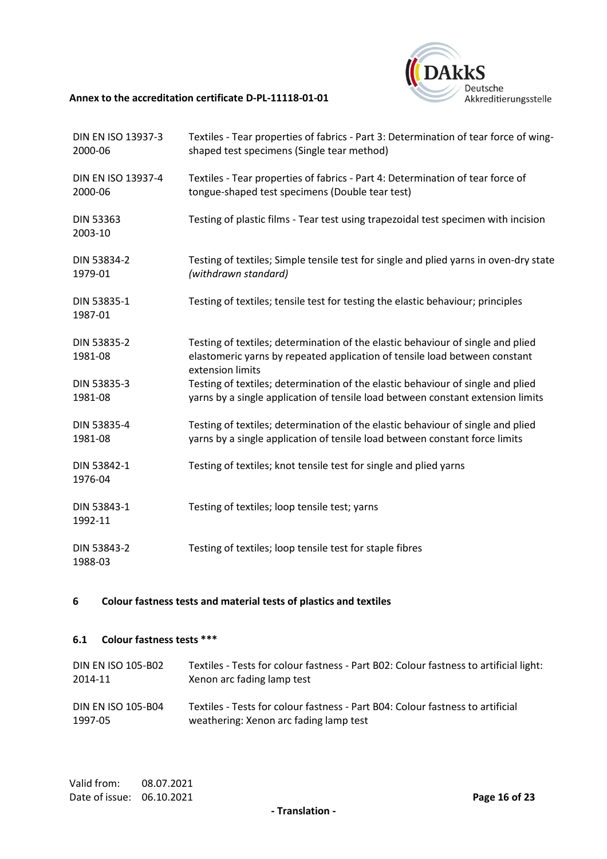

| DIN EN ISO 13937-3<br>2000-06 | Textiles - Tear properties of fabrics - Part 3: Determination of tear force of wing-<br>shaped test specimens (Single tear method)                                                |
|-------------------------------|-----------------------------------------------------------------------------------------------------------------------------------------------------------------------------------|
| DIN EN ISO 13937-4<br>2000-06 | Textiles - Tear properties of fabrics - Part 4: Determination of tear force of<br>tongue-shaped test specimens (Double tear test)                                                 |
| <b>DIN 53363</b><br>2003-10   | Testing of plastic films - Tear test using trapezoidal test specimen with incision                                                                                                |
| DIN 53834-2<br>1979-01        | Testing of textiles; Simple tensile test for single and plied yarns in oven-dry state<br>(withdrawn standard)                                                                     |
| DIN 53835-1<br>1987-01        | Testing of textiles; tensile test for testing the elastic behaviour; principles                                                                                                   |
| DIN 53835-2<br>1981-08        | Testing of textiles; determination of the elastic behaviour of single and plied<br>elastomeric yarns by repeated application of tensile load between constant<br>extension limits |
| DIN 53835-3<br>1981-08        | Testing of textiles; determination of the elastic behaviour of single and plied<br>yarns by a single application of tensile load between constant extension limits                |
| DIN 53835-4<br>1981-08        | Testing of textiles; determination of the elastic behaviour of single and plied<br>yarns by a single application of tensile load between constant force limits                    |
| DIN 53842-1<br>1976-04        | Testing of textiles; knot tensile test for single and plied yarns                                                                                                                 |
| DIN 53843-1<br>1992-11        | Testing of textiles; loop tensile test; yarns                                                                                                                                     |
| DIN 53843-2<br>1988-03        | Testing of textiles; loop tensile test for staple fibres                                                                                                                          |

# **6 Colour fastness tests and material tests of plastics and textiles**

# **6.1 Colour fastness tests \*\*\***

| DIN EN ISO 105-B02        | Textiles - Tests for colour fastness - Part B02: Colour fastness to artificial light: |
|---------------------------|---------------------------------------------------------------------------------------|
| 2014-11                   | Xenon arc fading lamp test                                                            |
| <b>DIN EN ISO 105-B04</b> | Textiles - Tests for colour fastness - Part B04: Colour fastness to artificial        |
| 1997-05                   | weathering: Xenon arc fading lamp test                                                |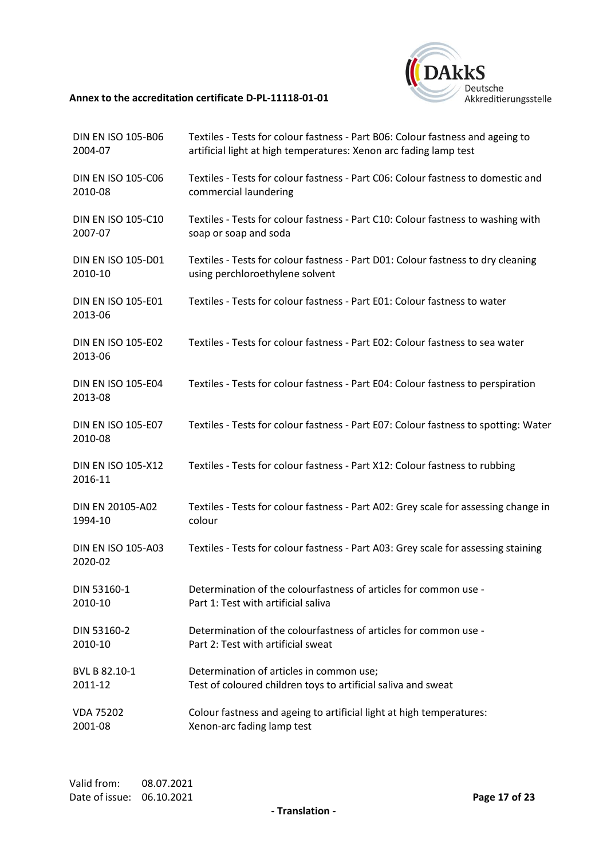

| <b>DIN EN ISO 105-B06</b>            | Textiles - Tests for colour fastness - Part B06: Colour fastness and ageing to      |
|--------------------------------------|-------------------------------------------------------------------------------------|
| 2004-07                              | artificial light at high temperatures: Xenon arc fading lamp test                   |
| DIN EN ISO 105-C06                   | Textiles - Tests for colour fastness - Part C06: Colour fastness to domestic and    |
| 2010-08                              | commercial laundering                                                               |
| <b>DIN EN ISO 105-C10</b>            | Textiles - Tests for colour fastness - Part C10: Colour fastness to washing with    |
| 2007-07                              | soap or soap and soda                                                               |
| <b>DIN EN ISO 105-D01</b>            | Textiles - Tests for colour fastness - Part D01: Colour fastness to dry cleaning    |
| 2010-10                              | using perchloroethylene solvent                                                     |
| DIN EN ISO 105-E01<br>2013-06        | Textiles - Tests for colour fastness - Part E01: Colour fastness to water           |
| <b>DIN EN ISO 105-E02</b><br>2013-06 | Textiles - Tests for colour fastness - Part E02: Colour fastness to sea water       |
| <b>DIN EN ISO 105-E04</b><br>2013-08 | Textiles - Tests for colour fastness - Part E04: Colour fastness to perspiration    |
| <b>DIN EN ISO 105-E07</b><br>2010-08 | Textiles - Tests for colour fastness - Part E07: Colour fastness to spotting: Water |
| <b>DIN EN ISO 105-X12</b><br>2016-11 | Textiles - Tests for colour fastness - Part X12: Colour fastness to rubbing         |
| DIN EN 20105-A02                     | Textiles - Tests for colour fastness - Part A02: Grey scale for assessing change in |
| 1994-10                              | colour                                                                              |
| <b>DIN EN ISO 105-A03</b><br>2020-02 | Textiles - Tests for colour fastness - Part A03: Grey scale for assessing staining  |
| DIN 53160-1                          | Determination of the colourfastness of articles for common use -                    |
| 2010-10                              | Part 1: Test with artificial saliva                                                 |
| DIN 53160-2                          | Determination of the colourfastness of articles for common use -                    |
| 2010-10                              | Part 2: Test with artificial sweat                                                  |
| BVL B 82.10-1                        | Determination of articles in common use;                                            |
| 2011-12                              | Test of coloured children toys to artificial saliva and sweat                       |
| <b>VDA 75202</b>                     | Colour fastness and ageing to artificial light at high temperatures:                |
| 2001-08                              | Xenon-arc fading lamp test                                                          |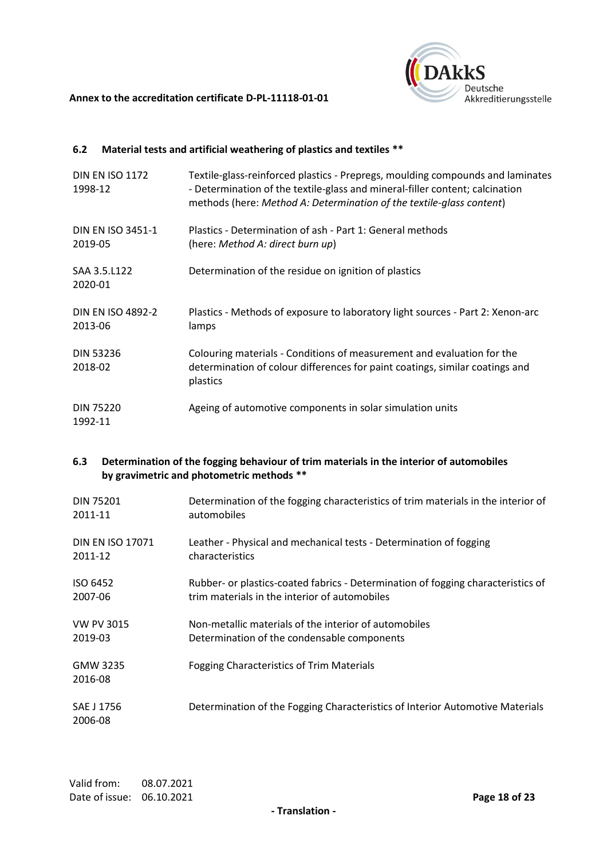



# **6.2 Material tests and artificial weathering of plastics and textiles \*\***

| <b>DIN EN ISO 1172</b><br>1998-12   | Textile-glass-reinforced plastics - Prepregs, moulding compounds and laminates<br>- Determination of the textile-glass and mineral-filler content; calcination<br>methods (here: Method A: Determination of the textile-glass content) |
|-------------------------------------|----------------------------------------------------------------------------------------------------------------------------------------------------------------------------------------------------------------------------------------|
| <b>DIN EN ISO 3451-1</b><br>2019-05 | Plastics - Determination of ash - Part 1: General methods<br>(here: Method A: direct burn up)                                                                                                                                          |
| SAA 3.5.L122<br>2020-01             | Determination of the residue on ignition of plastics                                                                                                                                                                                   |
| <b>DIN EN ISO 4892-2</b><br>2013-06 | Plastics - Methods of exposure to laboratory light sources - Part 2: Xenon-arc<br>lamps                                                                                                                                                |
| <b>DIN 53236</b><br>2018-02         | Colouring materials - Conditions of measurement and evaluation for the<br>determination of colour differences for paint coatings, similar coatings and<br>plastics                                                                     |
| <b>DIN 75220</b><br>1992-11         | Ageing of automotive components in solar simulation units                                                                                                                                                                              |

# **6.3 Determination of the fogging behaviour of trim materials in the interior of automobiles by gravimetric and photometric methods \*\***

| <b>DIN 75201</b>        | Determination of the fogging characteristics of trim materials in the interior of |
|-------------------------|-----------------------------------------------------------------------------------|
| 2011-11                 | automobiles                                                                       |
| <b>DIN EN ISO 17071</b> | Leather - Physical and mechanical tests - Determination of fogging                |
| 2011-12                 | characteristics                                                                   |
| ISO 6452                | Rubber- or plastics-coated fabrics - Determination of fogging characteristics of  |
| 2007-06                 | trim materials in the interior of automobiles                                     |
| <b>VW PV 3015</b>       | Non-metallic materials of the interior of automobiles                             |
| 2019-03                 | Determination of the condensable components                                       |
| GMW 3235<br>2016-08     | Fogging Characteristics of Trim Materials                                         |
| SAE J 1756<br>2006-08   | Determination of the Fogging Characteristics of Interior Automotive Materials     |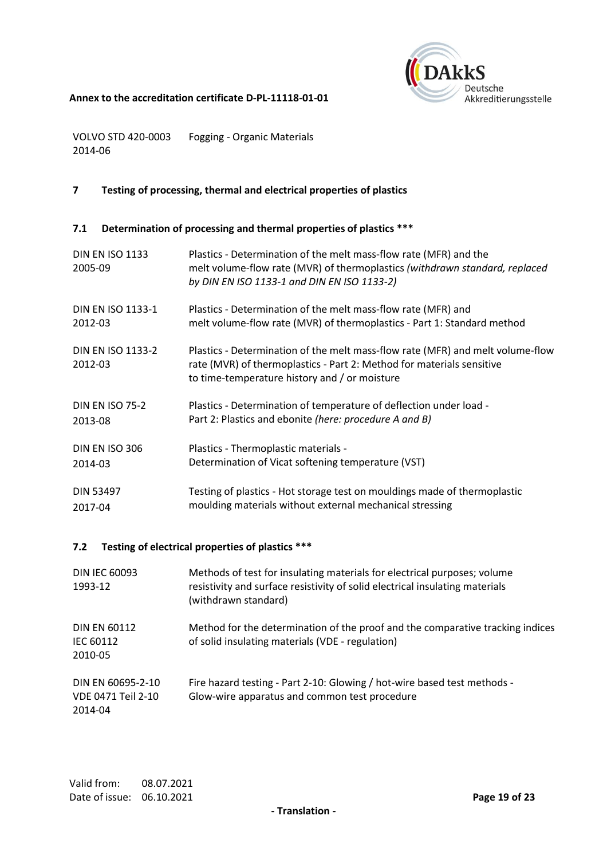

VOLVO STD 420-0003 Fogging - Organic Materials 2014-06

# **7 Testing of processing, thermal and electrical properties of plastics**

# **7.1 Determination of processing and thermal properties of plastics \*\*\***

| <b>DIN EN ISO 1133</b><br>2005-09   | Plastics - Determination of the melt mass-flow rate (MFR) and the<br>melt volume-flow rate (MVR) of thermoplastics (withdrawn standard, replaced<br>by DIN EN ISO 1133-1 and DIN EN ISO 1133-2)          |
|-------------------------------------|----------------------------------------------------------------------------------------------------------------------------------------------------------------------------------------------------------|
| <b>DIN EN ISO 1133-1</b>            | Plastics - Determination of the melt mass-flow rate (MFR) and                                                                                                                                            |
| 2012-03                             | melt volume-flow rate (MVR) of thermoplastics - Part 1: Standard method                                                                                                                                  |
| <b>DIN EN ISO 1133-2</b><br>2012-03 | Plastics - Determination of the melt mass-flow rate (MFR) and melt volume-flow<br>rate (MVR) of thermoplastics - Part 2: Method for materials sensitive<br>to time-temperature history and / or moisture |
| <b>DIN EN ISO 75-2</b>              | Plastics - Determination of temperature of deflection under load -                                                                                                                                       |
| 2013-08                             | Part 2: Plastics and ebonite (here: procedure A and B)                                                                                                                                                   |
| DIN EN ISO 306                      | Plastics - Thermoplastic materials -                                                                                                                                                                     |
| 2014-03                             | Determination of Vicat softening temperature (VST)                                                                                                                                                       |
| <b>DIN 53497</b>                    | Testing of plastics - Hot storage test on mouldings made of thermoplastic                                                                                                                                |
| 2017-04                             | moulding materials without external mechanical stressing                                                                                                                                                 |

# **7.2 Testing of electrical properties of plastics \*\*\***

| <b>DIN IEC 60093</b><br>1993-12                    | Methods of test for insulating materials for electrical purposes; volume<br>resistivity and surface resistivity of solid electrical insulating materials<br>(withdrawn standard) |
|----------------------------------------------------|----------------------------------------------------------------------------------------------------------------------------------------------------------------------------------|
| <b>DIN EN 60112</b><br>IEC 60112<br>2010-05        | Method for the determination of the proof and the comparative tracking indices<br>of solid insulating materials (VDE - regulation)                                               |
| DIN EN 60695-2-10<br>VDE 0471 Teil 2-10<br>2014-04 | Fire hazard testing - Part 2-10: Glowing / hot-wire based test methods -<br>Glow-wire apparatus and common test procedure                                                        |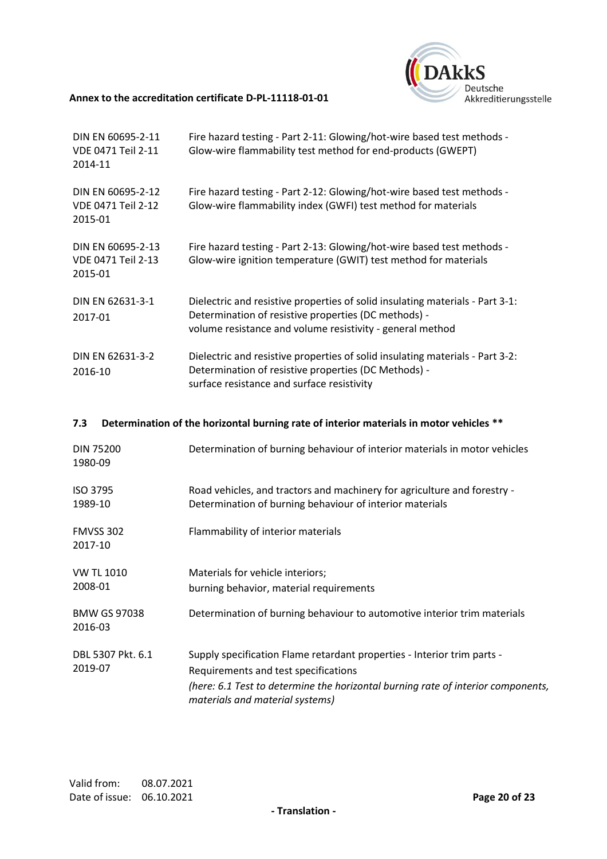

| DIN EN 60695-2-11<br><b>VDE 0471 Teil 2-11</b><br>2014-11 | Fire hazard testing - Part 2-11: Glowing/hot-wire based test methods -<br>Glow-wire flammability test method for end-products (GWEPT)                                                              |
|-----------------------------------------------------------|----------------------------------------------------------------------------------------------------------------------------------------------------------------------------------------------------|
| DIN EN 60695-2-12<br><b>VDE 0471 Teil 2-12</b><br>2015-01 | Fire hazard testing - Part 2-12: Glowing/hot-wire based test methods -<br>Glow-wire flammability index (GWFI) test method for materials                                                            |
| DIN EN 60695-2-13<br><b>VDE 0471 Teil 2-13</b><br>2015-01 | Fire hazard testing - Part 2-13: Glowing/hot-wire based test methods -<br>Glow-wire ignition temperature (GWIT) test method for materials                                                          |
| DIN EN 62631-3-1<br>2017-01                               | Dielectric and resistive properties of solid insulating materials - Part 3-1:<br>Determination of resistive properties (DC methods) -<br>volume resistance and volume resistivity - general method |
| DIN EN 62631-3-2<br>2016-10                               | Dielectric and resistive properties of solid insulating materials - Part 3-2:<br>Determination of resistive properties (DC Methods) -<br>surface resistance and surface resistivity                |
| 7.3                                                       | Determination of the horizontal burning rate of interior materials in motor vehicles **                                                                                                            |
| <b>DIN 75200</b><br>1980-09                               | Determination of burning behaviour of interior materials in motor vehicles                                                                                                                         |

| ISO 3795 | Road vehicles, and tractors and machinery for agriculture and forestry - |
|----------|--------------------------------------------------------------------------|
| 1989-10  | Determination of burning behaviour of interior materials                 |

FMVSS 302 2017-10 Flammability of interior materials

| <b>VW TL 1010</b>              | Materials for vehicle interiors;                                                                                    |
|--------------------------------|---------------------------------------------------------------------------------------------------------------------|
| 2008-01                        | burning behavior, material requirements                                                                             |
| <b>BMW GS 97038</b><br>2016-03 | Determination of burning behaviour to automotive interior trim materials                                            |
| DBL 5307 Pkt. 6.1              | Supply specification Flame retardant properties - Interior trim parts -                                             |
| 2019-07                        | Requirements and test specifications                                                                                |
|                                | (here: 6.1 Test to determine the horizontal burning rate of interior components,<br>materials and material systems) |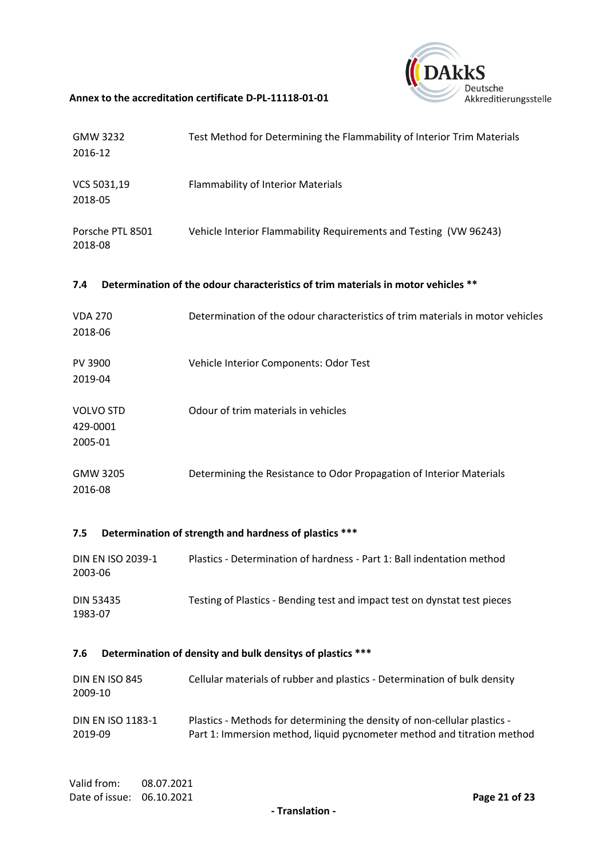

| GMW 3232<br>2016-12                     | Test Method for Determining the Flammability of Interior Trim Materials           |
|-----------------------------------------|-----------------------------------------------------------------------------------|
| VCS 5031,19<br>2018-05                  | <b>Flammability of Interior Materials</b>                                         |
| Porsche PTL 8501<br>2018-08             | Vehicle Interior Flammability Requirements and Testing (VW 96243)                 |
| 7.4                                     | Determination of the odour characteristics of trim materials in motor vehicles ** |
| <b>VDA 270</b><br>2018-06               | Determination of the odour characteristics of trim materials in motor vehicles    |
| PV 3900<br>2019-04                      | Vehicle Interior Components: Odor Test                                            |
| <b>VOLVO STD</b><br>429-0001<br>2005-01 | Odour of trim materials in vehicles                                               |
| GMW 3205<br>2016-08                     | Determining the Resistance to Odor Propagation of Interior Materials              |
| 7.5                                     | Determination of strength and hardness of plastics ***                            |

#### DIN EN ISO 2039-1 2003-06 Plastics - Determination of hardness - Part 1: Ball indentation method DIN 53435 1983-07 Testing of Plastics - Bending test and impact test on dynstat test pieces

# **7.6 Determination of density and bulk densitys of plastics \*\*\***

| DIN EN ISO 845<br>2009-10 | Cellular materials of rubber and plastics - Determination of bulk density |
|---------------------------|---------------------------------------------------------------------------|
| <b>DIN EN ISO 1183-1</b>  | Plastics - Methods for determining the density of non-cellular plastics - |
| 2019-09                   | Part 1: Immersion method, liquid pycnometer method and titration method   |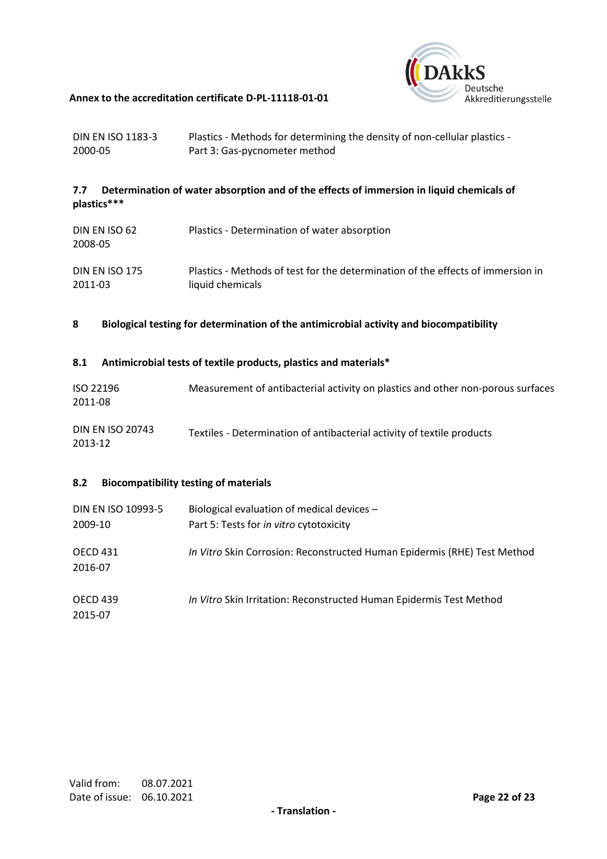

| DIN EN ISO 1183-3 | Plastics - Methods for determining the density of non-cellular plastics - |
|-------------------|---------------------------------------------------------------------------|
| 2000-05           | Part 3: Gas-pycnometer method                                             |

# **7.7 Determination of water absorption and of the effects of immersion in liquid chemicals of plastics\*\*\***

| DIN EN ISO 62<br>2008-05 | Plastics - Determination of water absorption                                    |
|--------------------------|---------------------------------------------------------------------------------|
| DIN EN ISO 175           | Plastics - Methods of test for the determination of the effects of immersion in |
| 2011-03                  | liquid chemicals                                                                |

**8 Biological testing for determination of the antimicrobial activity and biocompatibility**

# **8.1 Antimicrobial tests of textile products, plastics and materials\***

| ISO 22196 | Measurement of antibacterial activity on plastics and other non-porous surfaces |
|-----------|---------------------------------------------------------------------------------|
| 2011-08   |                                                                                 |

| <b>DIN EN ISO 20743</b> | Textiles - Determination of antibacterial activity of textile products |
|-------------------------|------------------------------------------------------------------------|
| 2013-12                 |                                                                        |

# **8.2 Biocompatibility testing of materials**

| DIN EN ISO 10993-5<br>2009-10 | Biological evaluation of medical devices -<br>Part 5: Tests for in vitro cytotoxicity |
|-------------------------------|---------------------------------------------------------------------------------------|
| <b>OECD 431</b><br>2016-07    | In Vitro Skin Corrosion: Reconstructed Human Epidermis (RHE) Test Method              |
| <b>OECD 439</b><br>2015-07    | In Vitro Skin Irritation: Reconstructed Human Epidermis Test Method                   |